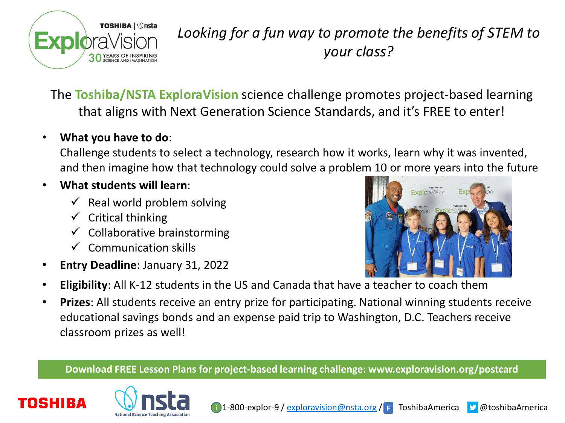

## *Looking for a fun way to promote the benefits of STEM to your class?*

The **Toshiba/NSTA ExploraVision** science challenge promotes project-based learning that aligns with Next Generation Science Standards, and it's FREE to enter!

## • **What you have to do**:

Challenge students to select a technology, research how it works, learn why it was invented, and then imagine how that technology could solve a problem 10 or more years into the future

## • **What students will learn**:

- $\checkmark$  Real world problem solving
- $\checkmark$  Critical thinking
- $\checkmark$  Collaborative brainstorming
- $\checkmark$  Communication skills
- **Entry Deadline**: January 31, 2022



- **Eligibility**: All K-12 students in the US and Canada that have a teacher to coach them
- **Prizes**: All students receive an entry prize for participating. National winning students receive educational savings bonds and an expense paid trip to Washington, D.C. Teachers receive classroom prizes as well!

**Download FREE Lesson Plans for project-based learning challenge: www.exploravision.org/postcard**